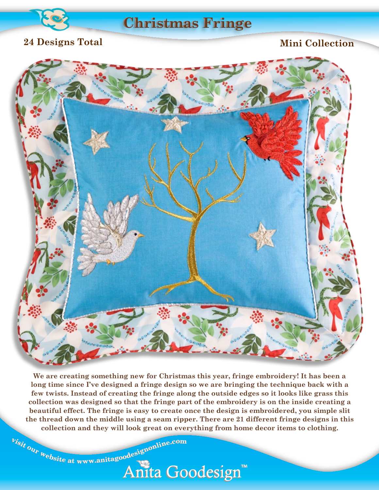

### **Vintage Free-Standing Christmas Fringe**

#### **24 Designs Total**

#### **Mini Collection**



**We are creating something new for Christmas this year, fringe embroidery! It has been a long time since I've designed a fringe design so we are bringing the technique back with a few twists. Instead of creating the fringe along the outside edges so it looks like grass this collection was designed so that the fringe part of the embroidery is on the inside creating a beautiful effect. The fringe is easy to create once the design is embroidered, you simple slit the thread down the middle using a seam ripper. There are 21 different fringe designs in this collection and they will look great on everything from home decor items to clothing.**

<sup>b</sup>isit our website at www.anitagoodesignonline.com

# Anita Goodesign™